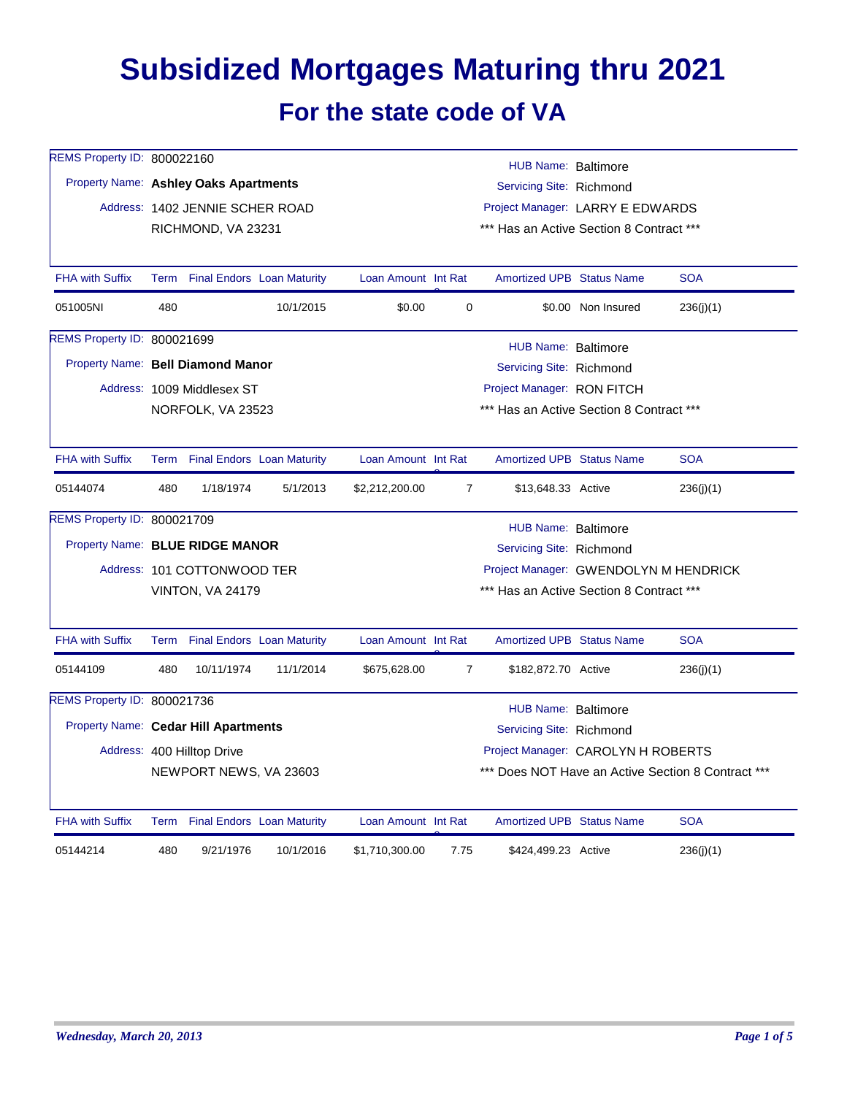## **Subsidized Mortgages Maturing thru 2021 For the state code of VA**

| REMS Property ID: 800022160<br>Property Name: Ashley Oaks Apartments |      | Address: 1402 JENNIE SCHER ROAD<br>RICHMOND, VA 23231 |                                   |                                                                                                                                             |                | <b>HUB Name: Baltimore</b><br>Servicing Site: Richmond<br>Project Manager: LARRY E EDWARDS<br>*** Has an Active Section 8 Contract *** |                    |                                                    |
|----------------------------------------------------------------------|------|-------------------------------------------------------|-----------------------------------|---------------------------------------------------------------------------------------------------------------------------------------------|----------------|----------------------------------------------------------------------------------------------------------------------------------------|--------------------|----------------------------------------------------|
| <b>FHA with Suffix</b>                                               |      |                                                       | Term Final Endors Loan Maturity   | Loan Amount Int Rat                                                                                                                         |                | Amortized UPB Status Name                                                                                                              |                    | <b>SOA</b>                                         |
| 051005NI                                                             | 480  |                                                       | 10/1/2015                         | \$0.00                                                                                                                                      | 0              |                                                                                                                                        | \$0.00 Non Insured | 236(j)(1)                                          |
| REMS Property ID: 800021699<br>Property Name: Bell Diamond Manor     |      | Address: 1009 Middlesex ST<br>NORFOLK, VA 23523       |                                   |                                                                                                                                             |                | HUB Name: Baltimore<br>Servicing Site: Richmond<br>Project Manager: RON FITCH<br>*** Has an Active Section 8 Contract ***              |                    |                                                    |
| <b>FHA with Suffix</b>                                               | Term |                                                       | <b>Final Endors Loan Maturity</b> | Loan Amount Int Rat                                                                                                                         |                | <b>Amortized UPB Status Name</b>                                                                                                       |                    | <b>SOA</b>                                         |
| 05144074                                                             | 480  | 1/18/1974                                             | 5/1/2013                          | \$2,212,200.00                                                                                                                              | $\overline{7}$ | \$13,648.33 Active                                                                                                                     |                    | 236(j)(1)                                          |
| REMS Property ID: 800021709<br>Property Name: BLUE RIDGE MANOR       |      | Address: 101 COTTONWOOD TER<br>VINTON, VA 24179       |                                   | <b>HUB Name: Baltimore</b><br>Servicing Site: Richmond<br>Project Manager: GWENDOLYN M HENDRICK<br>*** Has an Active Section 8 Contract *** |                |                                                                                                                                        |                    |                                                    |
| <b>FHA with Suffix</b>                                               | Term |                                                       | <b>Final Endors Loan Maturity</b> | Loan Amount Int Rat                                                                                                                         |                | <b>Amortized UPB Status Name</b>                                                                                                       |                    | <b>SOA</b>                                         |
| 05144109                                                             | 480  | 10/11/1974                                            | 11/1/2014                         | \$675,628.00                                                                                                                                | $\overline{7}$ | \$182,872.70 Active                                                                                                                    |                    | 236(j)(1)                                          |
| REMS Property ID: 800021736<br>Property Name: Cedar Hill Apartments  |      | Address: 400 Hilltop Drive<br>NEWPORT NEWS, VA 23603  |                                   |                                                                                                                                             |                | HUB Name: Baltimore<br>Servicing Site: Richmond<br>Project Manager: CAROLYN H ROBERTS                                                  |                    | *** Does NOT Have an Active Section 8 Contract *** |
| <b>FHA with Suffix</b>                                               |      |                                                       | Term Final Endors Loan Maturity   | Loan Amount Int Rat                                                                                                                         |                | <b>Amortized UPB Status Name</b>                                                                                                       |                    | <b>SOA</b>                                         |
| 05144214                                                             | 480  | 9/21/1976                                             | 10/1/2016                         | \$1,710,300.00                                                                                                                              | 7.75           | \$424,499.23 Active                                                                                                                    |                    | 236(j)(1)                                          |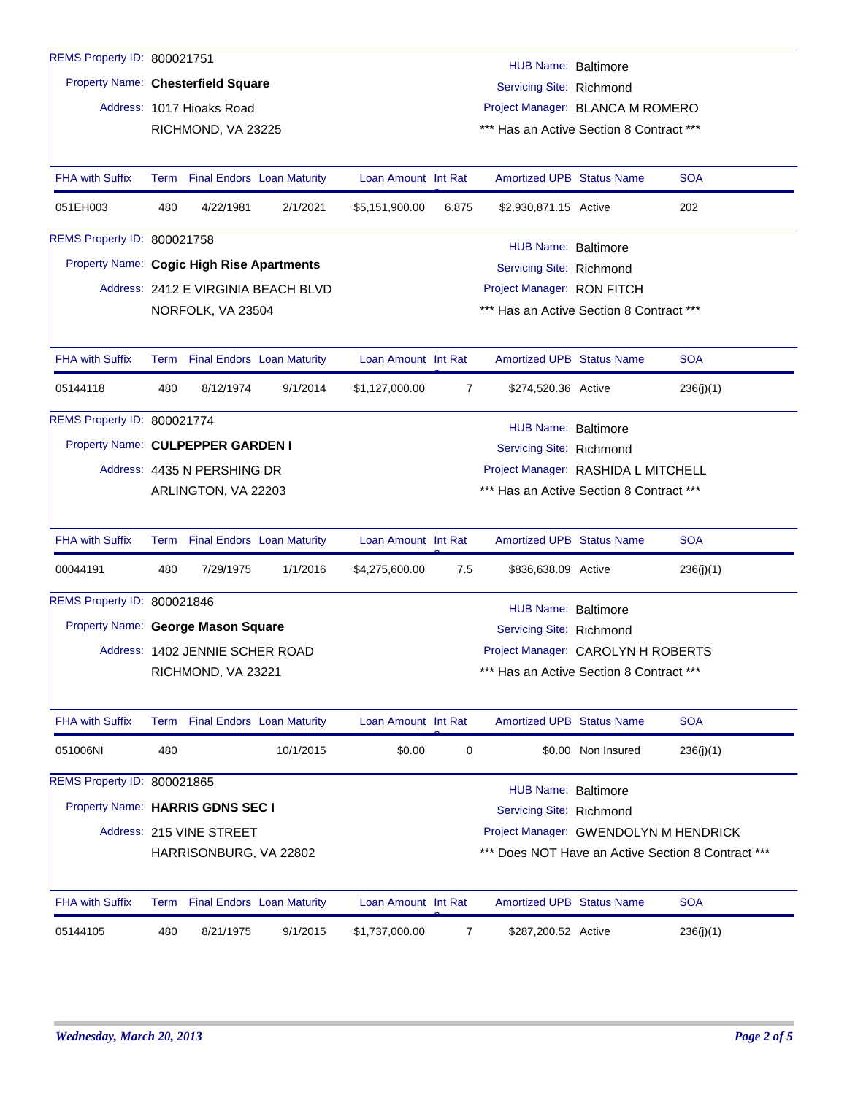| REMS Property ID: 800021751 |                                                                                       |                                                                       |           |                     |                |                                          |                    |                                                    |  |  |  |
|-----------------------------|---------------------------------------------------------------------------------------|-----------------------------------------------------------------------|-----------|---------------------|----------------|------------------------------------------|--------------------|----------------------------------------------------|--|--|--|
|                             | HUB Name: Baltimore<br>Property Name: Chesterfield Square<br>Servicing Site: Richmond |                                                                       |           |                     |                |                                          |                    |                                                    |  |  |  |
|                             |                                                                                       |                                                                       |           |                     |                |                                          |                    |                                                    |  |  |  |
|                             |                                                                                       | Address: 1017 Hioaks Road                                             |           |                     |                | Project Manager: BLANCA M ROMERO         |                    |                                                    |  |  |  |
|                             |                                                                                       | RICHMOND, VA 23225                                                    |           |                     |                | *** Has an Active Section 8 Contract *** |                    |                                                    |  |  |  |
| <b>FHA with Suffix</b>      |                                                                                       | Term Final Endors Loan Maturity                                       |           | Loan Amount Int Rat |                | <b>Amortized UPB Status Name</b>         |                    | <b>SOA</b>                                         |  |  |  |
| 051EH003                    | 480                                                                                   | 4/22/1981                                                             | 2/1/2021  | \$5,151,900.00      | 6.875          | \$2,930,871.15 Active                    |                    | 202                                                |  |  |  |
| REMS Property ID: 800021758 |                                                                                       |                                                                       |           |                     |                | HUB Name: Baltimore                      |                    |                                                    |  |  |  |
|                             |                                                                                       | Property Name: Cogic High Rise Apartments<br>Servicing Site: Richmond |           |                     |                |                                          |                    |                                                    |  |  |  |
|                             |                                                                                       | Address: 2412 E VIRGINIA BEACH BLVD                                   |           |                     |                | Project Manager: RON FITCH               |                    |                                                    |  |  |  |
|                             |                                                                                       | NORFOLK, VA 23504                                                     |           |                     |                | *** Has an Active Section 8 Contract *** |                    |                                                    |  |  |  |
|                             |                                                                                       |                                                                       |           |                     |                |                                          |                    |                                                    |  |  |  |
| <b>FHA with Suffix</b>      |                                                                                       | Term Final Endors Loan Maturity                                       |           | Loan Amount Int Rat |                | <b>Amortized UPB Status Name</b>         |                    | <b>SOA</b>                                         |  |  |  |
| 05144118                    | 480                                                                                   | 8/12/1974                                                             | 9/1/2014  | \$1,127,000.00      | $\overline{7}$ | \$274,520.36 Active                      |                    | 236(j)(1)                                          |  |  |  |
| REMS Property ID: 800021774 |                                                                                       |                                                                       |           |                     |                | HUB Name: Baltimore                      |                    |                                                    |  |  |  |
|                             |                                                                                       | Property Name: CULPEPPER GARDEN I                                     |           |                     |                | Servicing Site: Richmond                 |                    |                                                    |  |  |  |
|                             |                                                                                       | Address: 4435 N PERSHING DR                                           |           |                     |                | Project Manager: RASHIDA L MITCHELL      |                    |                                                    |  |  |  |
|                             |                                                                                       | ARLINGTON, VA 22203                                                   |           |                     |                | *** Has an Active Section 8 Contract *** |                    |                                                    |  |  |  |
|                             |                                                                                       |                                                                       |           |                     |                |                                          |                    |                                                    |  |  |  |
| <b>FHA with Suffix</b>      |                                                                                       | Term Final Endors Loan Maturity                                       |           | Loan Amount Int Rat |                | <b>Amortized UPB Status Name</b>         |                    | <b>SOA</b>                                         |  |  |  |
| 00044191                    | 480                                                                                   | 7/29/1975                                                             | 1/1/2016  | \$4,275,600.00      | 7.5            | \$836,638.09 Active                      |                    | 236(j)(1)                                          |  |  |  |
| REMS Property ID: 800021846 |                                                                                       |                                                                       |           |                     |                | <b>HUB Name: Baltimore</b>               |                    |                                                    |  |  |  |
|                             |                                                                                       | Property Name: George Mason Square                                    |           |                     |                | Servicing Site: Richmond                 |                    |                                                    |  |  |  |
|                             |                                                                                       | Address: 1402 JENNIE SCHER ROAD                                       |           |                     |                | Project Manager: CAROLYN H ROBERTS       |                    |                                                    |  |  |  |
|                             |                                                                                       | RICHMOND, VA 23221                                                    |           |                     |                | *** Has an Active Section 8 Contract *** |                    |                                                    |  |  |  |
|                             |                                                                                       |                                                                       |           |                     |                |                                          |                    |                                                    |  |  |  |
| <b>FHA with Suffix</b>      |                                                                                       | Term Final Endors Loan Maturity                                       |           | Loan Amount Int Rat |                | <b>Amortized UPB Status Name</b>         |                    | <b>SOA</b>                                         |  |  |  |
| 051006NI                    | 480                                                                                   |                                                                       | 10/1/2015 | \$0.00              | 0              |                                          | \$0.00 Non Insured | 236(j)(1)                                          |  |  |  |
| REMS Property ID: 800021865 |                                                                                       |                                                                       |           |                     |                | <b>HUB Name: Baltimore</b>               |                    |                                                    |  |  |  |
|                             |                                                                                       | Property Name: HARRIS GDNS SEC I                                      |           |                     |                | Servicing Site: Richmond                 |                    |                                                    |  |  |  |
|                             |                                                                                       | Address: 215 VINE STREET                                              |           |                     |                | Project Manager: GWENDOLYN M HENDRICK    |                    |                                                    |  |  |  |
|                             |                                                                                       | HARRISONBURG, VA 22802                                                |           |                     |                |                                          |                    | *** Does NOT Have an Active Section 8 Contract *** |  |  |  |
| <b>FHA with Suffix</b>      | Term                                                                                  | <b>Final Endors</b> Loan Maturity                                     |           | Loan Amount Int Rat |                | <b>Amortized UPB Status Name</b>         |                    | <b>SOA</b>                                         |  |  |  |
|                             |                                                                                       |                                                                       |           |                     |                |                                          |                    |                                                    |  |  |  |
| 05144105                    | 480                                                                                   | 8/21/1975                                                             | 9/1/2015  | \$1,737,000.00      | 7              | \$287,200.52 Active                      |                    | 236(j)(1)                                          |  |  |  |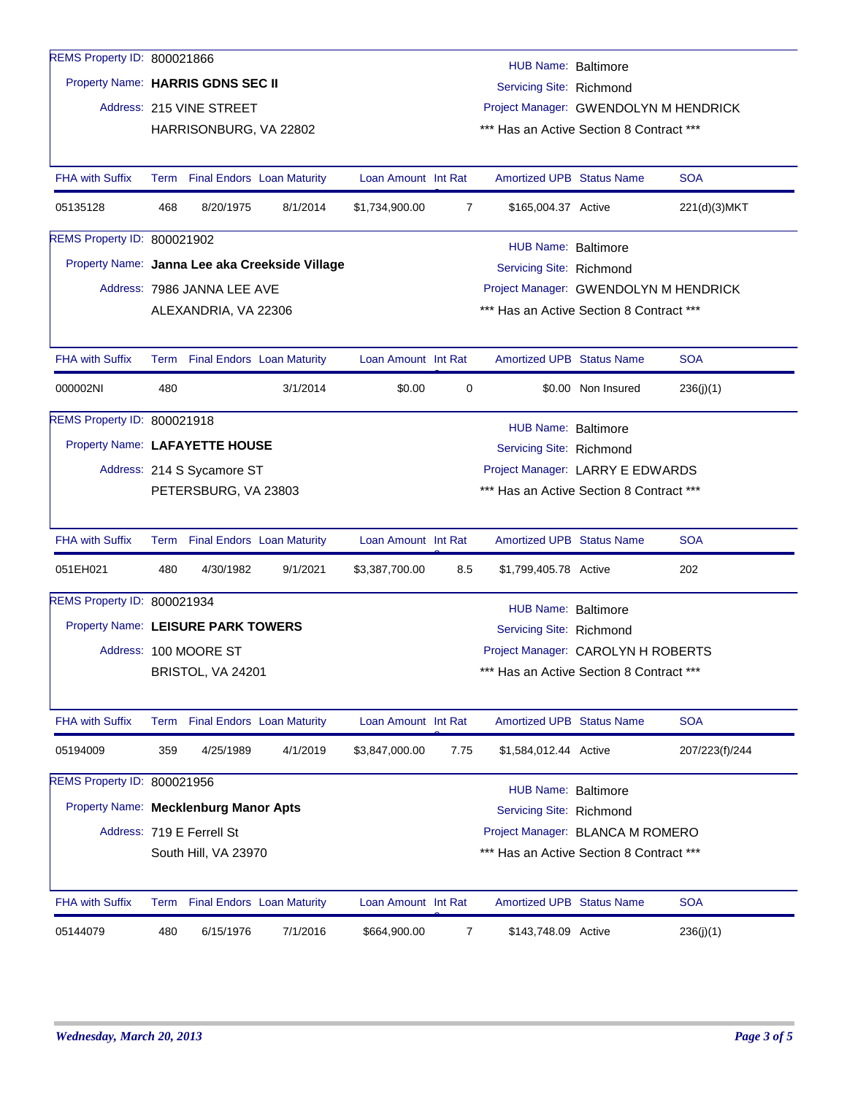| REMS Property ID: 800021866           |      |                                 |                                                |                     |      | HUB Name: Baltimore                      |                    |                |
|---------------------------------------|------|---------------------------------|------------------------------------------------|---------------------|------|------------------------------------------|--------------------|----------------|
| Property Name: HARRIS GDNS SEC II     |      |                                 |                                                |                     |      | Servicing Site: Richmond                 |                    |                |
|                                       |      | Address: 215 VINE STREET        |                                                |                     |      | Project Manager: GWENDOLYN M HENDRICK    |                    |                |
|                                       |      | HARRISONBURG, VA 22802          |                                                |                     |      | *** Has an Active Section 8 Contract *** |                    |                |
|                                       |      |                                 |                                                |                     |      |                                          |                    |                |
| <b>FHA with Suffix</b>                |      | Term Final Endors Loan Maturity |                                                | Loan Amount Int Rat |      | <b>Amortized UPB Status Name</b>         |                    | <b>SOA</b>     |
| 05135128                              | 468  | 8/20/1975                       | 8/1/2014                                       | \$1,734,900.00      | 7    | \$165,004.37 Active                      |                    | 221(d)(3)MKT   |
| REMS Property ID: 800021902           |      |                                 |                                                |                     |      | HUB Name: Baltimore                      |                    |                |
|                                       |      |                                 | Property Name: Janna Lee aka Creekside Village |                     |      | Servicing Site: Richmond                 |                    |                |
|                                       |      | Address: 7986 JANNA LEE AVE     |                                                |                     |      | Project Manager: GWENDOLYN M HENDRICK    |                    |                |
|                                       |      | ALEXANDRIA, VA 22306            |                                                |                     |      | *** Has an Active Section 8 Contract *** |                    |                |
|                                       |      |                                 |                                                |                     |      |                                          |                    |                |
| <b>FHA with Suffix</b>                |      | Term Final Endors Loan Maturity |                                                | Loan Amount Int Rat |      | <b>Amortized UPB Status Name</b>         |                    | <b>SOA</b>     |
| 000002NI                              | 480  |                                 | 3/1/2014                                       | \$0.00              | 0    |                                          | \$0.00 Non Insured | 236(j)(1)      |
| REMS Property ID: 800021918           |      |                                 |                                                |                     |      | HUB Name: Baltimore                      |                    |                |
| Property Name: LAFAYETTE HOUSE        |      |                                 |                                                |                     |      | Servicing Site: Richmond                 |                    |                |
|                                       |      | Address: 214 S Sycamore ST      |                                                |                     |      | Project Manager: LARRY E EDWARDS         |                    |                |
|                                       |      | PETERSBURG, VA 23803            |                                                |                     |      | *** Has an Active Section 8 Contract *** |                    |                |
|                                       |      |                                 |                                                |                     |      |                                          |                    |                |
| <b>FHA with Suffix</b>                |      | Term Final Endors Loan Maturity |                                                | Loan Amount Int Rat |      | <b>Amortized UPB Status Name</b>         |                    | <b>SOA</b>     |
| 051EH021                              | 480  | 4/30/1982                       | 9/1/2021                                       | \$3,387,700.00      | 8.5  | \$1,799,405.78 Active                    |                    | 202            |
| REMS Property ID: 800021934           |      |                                 |                                                |                     |      | <b>HUB Name: Baltimore</b>               |                    |                |
| Property Name: LEISURE PARK TOWERS    |      |                                 |                                                |                     |      | Servicing Site: Richmond                 |                    |                |
|                                       |      | Address: 100 MOORE ST           |                                                |                     |      | Project Manager: CAROLYN H ROBERTS       |                    |                |
|                                       |      | BRISTOL, VA 24201               |                                                |                     |      | *** Has an Active Section 8 Contract *** |                    |                |
|                                       |      |                                 |                                                |                     |      |                                          |                    |                |
| <b>FHA with Suffix</b>                | Term |                                 | <b>Final Endors Loan Maturity</b>              | Loan Amount Int Rat |      | <b>Amortized UPB Status Name</b>         |                    | <b>SOA</b>     |
| 05194009                              | 359  | 4/25/1989                       | 4/1/2019                                       | \$3,847,000.00      | 7.75 | \$1,584,012.44 Active                    |                    | 207/223(f)/244 |
| REMS Property ID: 800021956           |      |                                 |                                                |                     |      | <b>HUB Name: Baltimore</b>               |                    |                |
| Property Name: Mecklenburg Manor Apts |      |                                 |                                                |                     |      | Servicing Site: Richmond                 |                    |                |
|                                       |      | Address: 719 E Ferrell St       |                                                |                     |      | Project Manager: BLANCA M ROMERO         |                    |                |
|                                       |      | South Hill, VA 23970            |                                                |                     |      | *** Has an Active Section 8 Contract *** |                    |                |
|                                       |      |                                 |                                                |                     |      |                                          |                    |                |
| <b>FHA with Suffix</b>                |      | Term Final Endors Loan Maturity |                                                | Loan Amount Int Rat |      | <b>Amortized UPB Status Name</b>         |                    | <b>SOA</b>     |
| 05144079                              | 480  | 6/15/1976                       | 7/1/2016                                       | \$664,900.00        | 7    | \$143,748.09 Active                      |                    | 236(j)(1)      |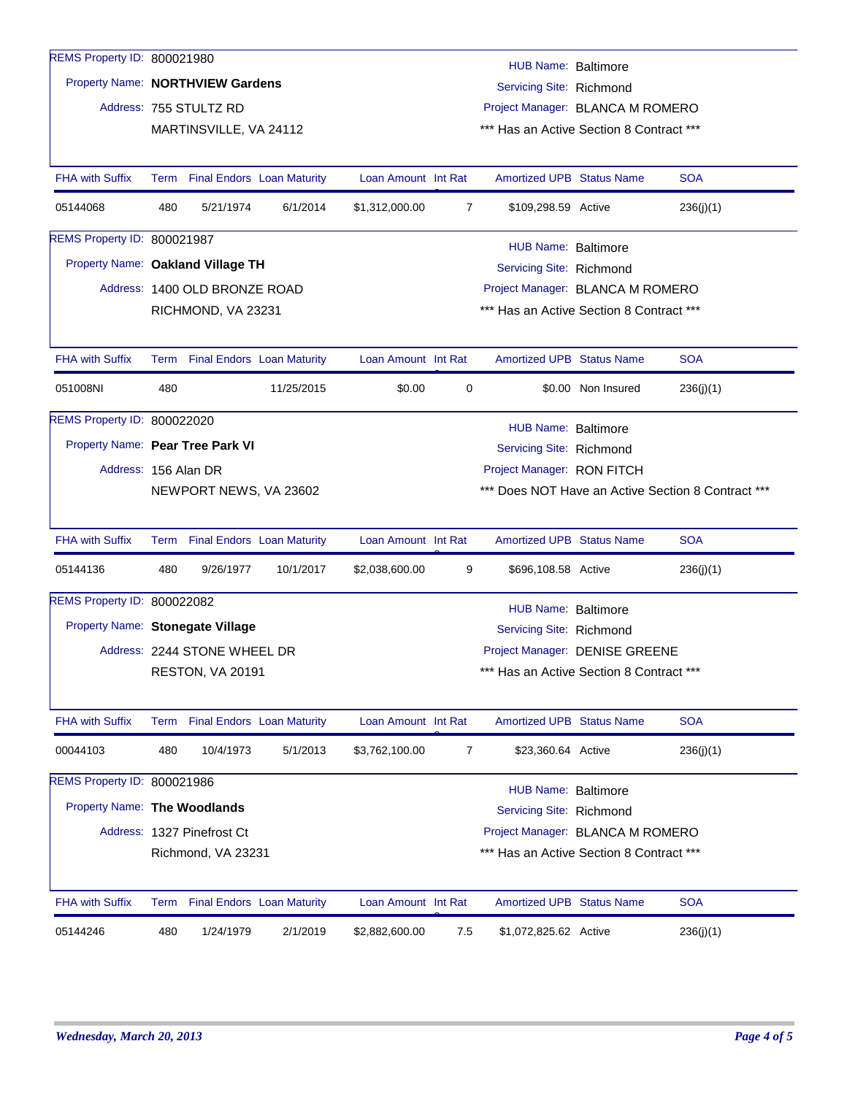| REMS Property ID: 800021980       |                                                                                                    |                                 |                          |                     |                | HUB Name: Baltimore                      |                    |                                                    |  |  |
|-----------------------------------|----------------------------------------------------------------------------------------------------|---------------------------------|--------------------------|---------------------|----------------|------------------------------------------|--------------------|----------------------------------------------------|--|--|
| Property Name: NORTHVIEW Gardens  |                                                                                                    |                                 | Servicing Site: Richmond |                     |                |                                          |                    |                                                    |  |  |
|                                   |                                                                                                    | Address: 755 STULTZ RD          |                          |                     |                | Project Manager: BLANCA M ROMERO         |                    |                                                    |  |  |
|                                   |                                                                                                    | MARTINSVILLE, VA 24112          |                          |                     |                | *** Has an Active Section 8 Contract *** |                    |                                                    |  |  |
|                                   |                                                                                                    |                                 |                          |                     |                |                                          |                    |                                                    |  |  |
| <b>FHA with Suffix</b>            |                                                                                                    | Term Final Endors Loan Maturity |                          | Loan Amount Int Rat |                | <b>Amortized UPB Status Name</b>         |                    | <b>SOA</b>                                         |  |  |
| 05144068                          | 480                                                                                                | 5/21/1974                       | 6/1/2014                 | \$1,312,000.00      | $\overline{7}$ | \$109,298.59 Active                      |                    | 236(j)(1)                                          |  |  |
| REMS Property ID: 800021987       |                                                                                                    |                                 |                          |                     |                | HUB Name: Baltimore                      |                    |                                                    |  |  |
| Property Name: Oakland Village TH |                                                                                                    |                                 |                          |                     |                | Servicing Site: Richmond                 |                    |                                                    |  |  |
|                                   |                                                                                                    | Address: 1400 OLD BRONZE ROAD   |                          |                     |                | Project Manager: BLANCA M ROMERO         |                    |                                                    |  |  |
|                                   |                                                                                                    | RICHMOND, VA 23231              |                          |                     |                | *** Has an Active Section 8 Contract *** |                    |                                                    |  |  |
|                                   |                                                                                                    |                                 |                          |                     |                |                                          |                    |                                                    |  |  |
| <b>FHA with Suffix</b>            |                                                                                                    | Term Final Endors Loan Maturity |                          | Loan Amount Int Rat |                | <b>Amortized UPB Status Name</b>         |                    | <b>SOA</b>                                         |  |  |
| 051008NI                          | 480                                                                                                |                                 | 11/25/2015               | \$0.00              | 0              |                                          | \$0.00 Non Insured | 236(j)(1)                                          |  |  |
| REMS Property ID: 800022020       |                                                                                                    |                                 |                          |                     |                |                                          |                    |                                                    |  |  |
| Property Name: Pear Tree Park VI  |                                                                                                    |                                 |                          |                     |                | HUB Name: Baltimore                      |                    |                                                    |  |  |
| Address: 156 Alan DR              |                                                                                                    |                                 |                          |                     |                | Servicing Site: Richmond                 |                    |                                                    |  |  |
|                                   |                                                                                                    | NEWPORT NEWS, VA 23602          |                          |                     |                | Project Manager: RON FITCH               |                    | *** Does NOT Have an Active Section 8 Contract *** |  |  |
|                                   |                                                                                                    |                                 |                          |                     |                |                                          |                    |                                                    |  |  |
| <b>FHA with Suffix</b>            |                                                                                                    | Term Final Endors Loan Maturity |                          | Loan Amount Int Rat |                | <b>Amortized UPB Status Name</b>         |                    | <b>SOA</b>                                         |  |  |
| 05144136                          | 480                                                                                                | 9/26/1977                       | 10/1/2017                | \$2,038,600.00      | 9              | \$696,108.58 Active                      |                    | 236(j)(1)                                          |  |  |
| REMS Property ID: 800022082       |                                                                                                    |                                 |                          |                     |                | <b>HUB Name: Baltimore</b>               |                    |                                                    |  |  |
| Property Name: Stonegate Village  |                                                                                                    |                                 |                          |                     |                | Servicing Site: Richmond                 |                    |                                                    |  |  |
|                                   |                                                                                                    | Address: 2244 STONE WHEEL DR    |                          |                     |                | Project Manager: DENISE GREENE           |                    |                                                    |  |  |
|                                   |                                                                                                    | RESTON, VA 20191                |                          |                     |                | *** Has an Active Section 8 Contract *** |                    |                                                    |  |  |
|                                   |                                                                                                    |                                 |                          |                     |                |                                          |                    |                                                    |  |  |
| <b>FHA with Suffix</b>            |                                                                                                    | Term Final Endors Loan Maturity |                          | Loan Amount Int Rat |                | Amortized UPB Status Name                |                    | <b>SOA</b>                                         |  |  |
| 00044103                          | 480                                                                                                | 10/4/1973                       | 5/1/2013                 | \$3,762,100.00      | $\overline{7}$ | \$23,360.64 Active                       |                    | 236(j)(1)                                          |  |  |
| REMS Property ID: 800021986       |                                                                                                    |                                 |                          |                     |                | <b>HUB Name: Baltimore</b>               |                    |                                                    |  |  |
| Property Name: The Woodlands      |                                                                                                    |                                 |                          |                     |                | Servicing Site: Richmond                 |                    |                                                    |  |  |
|                                   |                                                                                                    | Address: 1327 Pinefrost Ct      |                          |                     |                |                                          |                    |                                                    |  |  |
|                                   | Project Manager: BLANCA M ROMERO<br>*** Has an Active Section 8 Contract ***<br>Richmond, VA 23231 |                                 |                          |                     |                |                                          |                    |                                                    |  |  |
|                                   |                                                                                                    |                                 |                          |                     |                |                                          |                    |                                                    |  |  |
| <b>FHA with Suffix</b>            |                                                                                                    | Term Final Endors Loan Maturity |                          | Loan Amount Int Rat |                | <b>Amortized UPB Status Name</b>         |                    | <b>SOA</b>                                         |  |  |
| 05144246                          | 480                                                                                                | 1/24/1979                       | 2/1/2019                 | \$2,882,600.00      | 7.5            | \$1,072,825.62 Active                    |                    | 236(j)(1)                                          |  |  |